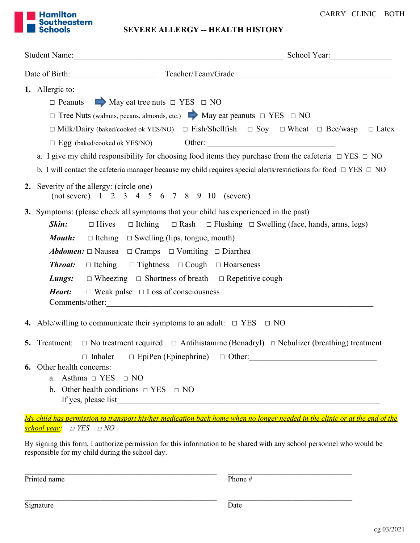

SEVERE ALLERGY -- HEALTH HISTORY

|                                                                                                                                   | Student Name: Student Name: School Year:                                                                                                                                                                                                       |  |  |  |  |  |
|-----------------------------------------------------------------------------------------------------------------------------------|------------------------------------------------------------------------------------------------------------------------------------------------------------------------------------------------------------------------------------------------|--|--|--|--|--|
|                                                                                                                                   |                                                                                                                                                                                                                                                |  |  |  |  |  |
|                                                                                                                                   | 1. Allergic to:<br>$\Box$ Peanuts $\Box$ May eat tree nuts $\Box$ YES $\Box$ NO                                                                                                                                                                |  |  |  |  |  |
|                                                                                                                                   | $\Box$ Tree Nuts (walnuts, pecans, almonds, etc.) $\Box$ May eat peanuts $\Box$ YES $\Box$ NO                                                                                                                                                  |  |  |  |  |  |
|                                                                                                                                   | $\Box$ Milk/Dairy (baked/cooked ok YES/NO) $\Box$ Fish/Shellfish $\Box$ Soy $\Box$ Wheat $\Box$ Bee/wasp<br>$\Box$ Latex                                                                                                                       |  |  |  |  |  |
|                                                                                                                                   | $\Box\,\,Egg\,\, (blackd/cooked\,\,ok\,\,YES/NO)\qquad\qquad Other:\_$                                                                                                                                                                         |  |  |  |  |  |
|                                                                                                                                   | a. I give my child responsibility for choosing food items they purchase from the cafeteria $\Box$ YES $\Box$ NO<br>b. I will contact the cafeteria manager because my child requires special alerts/restrictions for food $\Box$ YES $\Box$ NO |  |  |  |  |  |
|                                                                                                                                   | 2. Severity of the allergy: (circle one)<br>(not severe) 1 2 3 4 5 6 7 8 9 10 (severe)                                                                                                                                                         |  |  |  |  |  |
|                                                                                                                                   | 3. Symptoms: (please check all symptoms that your child has experienced in the past)                                                                                                                                                           |  |  |  |  |  |
|                                                                                                                                   | $\Box$ Itching $\Box$ Rash $\Box$ Flushing $\Box$ Swelling (face, hands, arms, legs)<br>$\Box$ Hives<br>Skin:                                                                                                                                  |  |  |  |  |  |
|                                                                                                                                   | <b><i>Mouth:</i></b> $\Box$ Itching $\Box$ Swelling (lips, tongue, mouth)                                                                                                                                                                      |  |  |  |  |  |
|                                                                                                                                   | <b>Abdomen:</b> $\Box$ Nausea $\Box$ Cramps $\Box$ Vomiting $\Box$ Diarrhea                                                                                                                                                                    |  |  |  |  |  |
|                                                                                                                                   | $\Box$ Itching $\Box$ Tightness $\Box$ Cough $\Box$ Hoarseness<br><b>Throat:</b>                                                                                                                                                               |  |  |  |  |  |
|                                                                                                                                   | $\Box$ Wheezing $\Box$ Shortness of breath $\Box$ Repetitive cough<br>Lungs:                                                                                                                                                                   |  |  |  |  |  |
|                                                                                                                                   | $\Box$ Weak pulse $\Box$ Loss of consciousness<br>Heart:<br>Comments/other:                                                                                                                                                                    |  |  |  |  |  |
|                                                                                                                                   | 4. Able/willing to communicate their symptoms to an adult: $\Box$ YES $\Box$ NO                                                                                                                                                                |  |  |  |  |  |
|                                                                                                                                   | <b>5.</b> Treatment: $\Box$ No treatment required $\Box$ Antihistamine (Benadryl) $\Box$ Nebulizer (breathing) treatment                                                                                                                       |  |  |  |  |  |
|                                                                                                                                   | $\Box$ Inhaler<br>$\Box$ EpiPen (Epinephrine) $\Box$ Other:                                                                                                                                                                                    |  |  |  |  |  |
|                                                                                                                                   | Other health concerns:<br>Asthma $\Box$ YES<br>$\Box$ NO<br>a.<br>Other health conditions $\Box$ YES $\Box$ NO<br>b.<br>If yes, please list                                                                                                    |  |  |  |  |  |
| <u>My child has permission to transport his/her medication back home when no longer needed in the clinic or at the end of the</u> |                                                                                                                                                                                                                                                |  |  |  |  |  |

school year: □ YES □ NO

By signing this form, I authorize permission for this information to be shared with any school personnel who would be responsible for my child during the school day.

 $\mathcal{L}_\text{max} = \mathcal{L}_\text{max} = \mathcal{L}_\text{max} = \mathcal{L}_\text{max} = \mathcal{L}_\text{max} = \mathcal{L}_\text{max} = \mathcal{L}_\text{max} = \mathcal{L}_\text{max} = \mathcal{L}_\text{max} = \mathcal{L}_\text{max} = \mathcal{L}_\text{max} = \mathcal{L}_\text{max} = \mathcal{L}_\text{max} = \mathcal{L}_\text{max} = \mathcal{L}_\text{max} = \mathcal{L}_\text{max} = \mathcal{L}_\text{max} = \mathcal{L}_\text{max} = \mathcal{$ 

Printed name Phone #